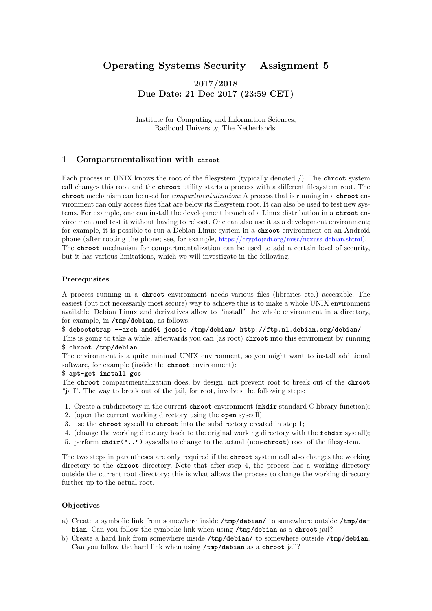# Operating Systems Security – Assignment 5

## 2017/2018 Due Date: 21 Dec 2017 (23:59 CET)

Institute for Computing and Information Sciences, Radboud University, The Netherlands.

### 1 Compartmentalization with **chroot**

Each process in UNIX knows the root of the filesystem (typically denoted /). The **chroot** system call changes this root and the **chroot** utility starts a process with a different filesystem root. The **chroot** mechanism can be used for compartmentalization: A process that is running in a **chroot** environment can only access files that are below its filesystem root. It can also be used to test new systems. For example, one can install the development branch of a Linux distribution in a **chroot** environment and test it without having to reboot. One can also use it as a development environment; for example, it is possible to run a Debian Linux system in a **chroot** environment on an Android phone (after rooting the phone; see, for example, <https://cryptojedi.org/misc/nexuss-debian.shtml>). The **chroot** mechanism for compartmentalization can be used to add a certain level of security, but it has various limitations, which we will investigate in the following.

### Prerequisites

A process running in a **chroot** environment needs various files (libraries etc.) accessible. The easiest (but not necessarily most secure) way to achieve this is to make a whole UNIX environment available. Debian Linux and derivatives allow to "install" the whole environment in a directory, for example, in **/tmp/debian**, as follows:

\$ **debootstrap --arch amd64 jessie /tmp/debian/ http://ftp.nl.debian.org/debian/**

This is going to take a while; afterwards you can (as root) **chroot** into this enviroment by running \$ **chroot /tmp/debian**

The environment is a quite minimal UNIX environment, so you might want to install additional software, for example (inside the **chroot** environment):

#### \$ **apt-get install gcc**

The **chroot** compartmentalization does, by design, not prevent root to break out of the **chroot** "jail". The way to break out of the jail, for root, involves the following steps:

- 1. Create a subdirectory in the current **chroot** environment (**mkdir** standard C library function);
- 2. (open the current working directory using the **open** syscall);
- 3. use the **chroot** syscall to **chroot** into the subdirectory created in step 1;
- 4. (change the working directory back to the original working directory with the **fchdir** syscall);
- 5. perform **chdir("..")** syscalls to change to the actual (non-**chroot**) root of the filesystem.

The two steps in parantheses are only required if the **chroot** system call also changes the working directory to the **chroot** directory. Note that after step 4, the process has a working directory outside the current root directory; this is what allows the process to change the working directory further up to the actual root.

### **Objectives**

- a) Create a symbolic link from somewhere inside **/tmp/debian/** to somewhere outside **/tmp/debian**. Can you follow the symbolic link when using **/tmp/debian** as a **chroot** jail?
- b) Create a hard link from somewhere inside **/tmp/debian/** to somewhere outside **/tmp/debian**. Can you follow the hard link when using **/tmp/debian** as a **chroot** jail?